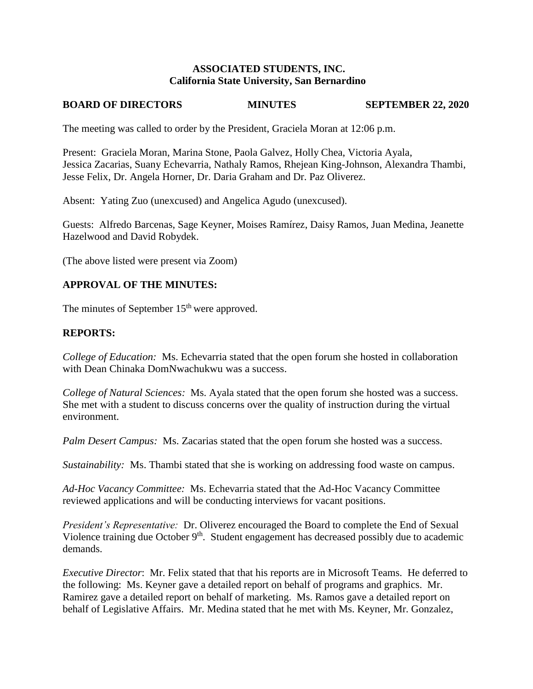### **ASSOCIATED STUDENTS, INC. California State University, San Bernardino**

## **BOARD OF DIRECTORS MINUTES SEPTEMBER 22, 2020**

The meeting was called to order by the President, Graciela Moran at 12:06 p.m.

Present: Graciela Moran, Marina Stone, Paola Galvez, Holly Chea, Victoria Ayala, Jessica Zacarias, Suany Echevarria, Nathaly Ramos, Rhejean King-Johnson, Alexandra Thambi, Jesse Felix, Dr. Angela Horner, Dr. Daria Graham and Dr. Paz Oliverez.

Absent: Yating Zuo (unexcused) and Angelica Agudo (unexcused).

Guests: Alfredo Barcenas, Sage Keyner, Moises Ramírez, Daisy Ramos, Juan Medina, Jeanette Hazelwood and David Robydek.

(The above listed were present via Zoom)

### **APPROVAL OF THE MINUTES:**

The minutes of September 15<sup>th</sup> were approved.

### **REPORTS:**

*College of Education:* Ms. Echevarria stated that the open forum she hosted in collaboration with Dean Chinaka DomNwachukwu was a success.

*College of Natural Sciences:* Ms. Ayala stated that the open forum she hosted was a success. She met with a student to discuss concerns over the quality of instruction during the virtual environment.

*Palm Desert Campus:* Ms. Zacarias stated that the open forum she hosted was a success.

*Sustainability:* Ms. Thambi stated that she is working on addressing food waste on campus.

*Ad-Hoc Vacancy Committee:* Ms. Echevarria stated that the Ad-Hoc Vacancy Committee reviewed applications and will be conducting interviews for vacant positions.

*President's Representative:* Dr. Oliverez encouraged the Board to complete the End of Sexual Violence training due October 9<sup>th</sup>. Student engagement has decreased possibly due to academic demands.

*Executive Director*: Mr. Felix stated that that his reports are in Microsoft Teams. He deferred to the following: Ms. Keyner gave a detailed report on behalf of programs and graphics. Mr. Ramirez gave a detailed report on behalf of marketing. Ms. Ramos gave a detailed report on behalf of Legislative Affairs. Mr. Medina stated that he met with Ms. Keyner, Mr. Gonzalez,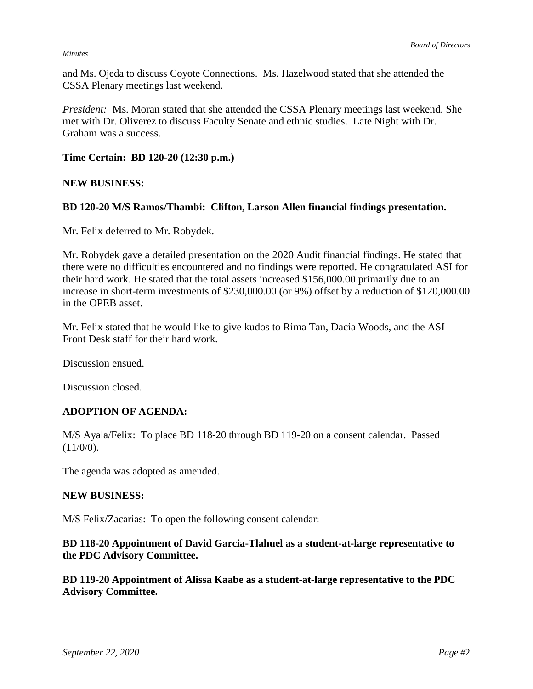#### *Minutes*

and Ms. Ojeda to discuss Coyote Connections. Ms. Hazelwood stated that she attended the CSSA Plenary meetings last weekend.

*President:* Ms. Moran stated that she attended the CSSA Plenary meetings last weekend. She met with Dr. Oliverez to discuss Faculty Senate and ethnic studies. Late Night with Dr. Graham was a success.

#### **Time Certain: BD 120-20 (12:30 p.m.)**

#### **NEW BUSINESS:**

#### **BD 120-20 M/S Ramos/Thambi: Clifton, Larson Allen financial findings presentation.**

Mr. Felix deferred to Mr. Robydek.

Mr. Robydek gave a detailed presentation on the 2020 Audit financial findings. He stated that there were no difficulties encountered and no findings were reported. He congratulated ASI for their hard work. He stated that the total assets increased \$156,000.00 primarily due to an increase in short-term investments of \$230,000.00 (or 9%) offset by a reduction of \$120,000.00 in the OPEB asset.

Mr. Felix stated that he would like to give kudos to Rima Tan, Dacia Woods, and the ASI Front Desk staff for their hard work.

Discussion ensued.

Discussion closed.

### **ADOPTION OF AGENDA:**

M/S Ayala/Felix: To place BD 118-20 through BD 119-20 on a consent calendar. Passed  $(11/0/0)$ .

The agenda was adopted as amended.

#### **NEW BUSINESS:**

M/S Felix/Zacarias: To open the following consent calendar:

**BD 118-20 Appointment of David Garcia-Tlahuel as a student-at-large representative to the PDC Advisory Committee.** 

**BD 119-20 Appointment of Alissa Kaabe as a student-at-large representative to the PDC Advisory Committee.**